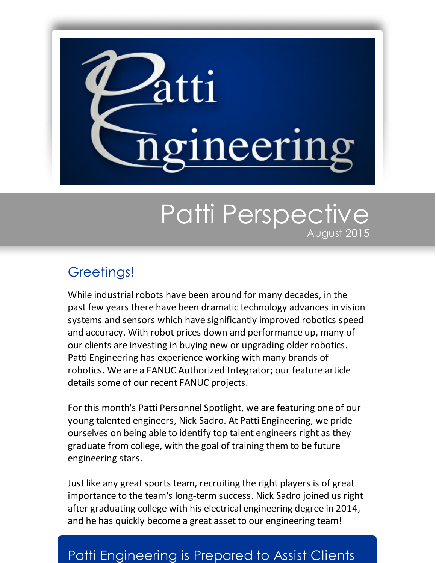

# Patti Perspective August 2015

# Greetings!

While industrial robots have been around for many decades, in the past few years there have been dramatic technology advances in vision systems and sensors which have significantly improved robotics speed and accuracy. With robot prices down and performance up, many of our clients are investing in buying new or upgrading older robotics. Patti Engineering has experience working with many brands of robotics. We are a FANUC Authorized Integrator; our feature article details some of our recent FANUC projects.

For this month's Patti Personnel Spotlight, we are featuring one of our young talented engineers, Nick Sadro. At Patti Engineering, we pride ourselves on being able to identify top talent engineers right as they graduate from college, with the goal of training them to be future engineering stars.

Just like any great sports team, recruiting the right players is of great importance to the team's long-term success. Nick Sadro joined us right after graduating college with his electrical engineering degree in 2014, and he has quickly become a great asset to our engineering team!

### Patti Engineering is Prepared to Assist Clients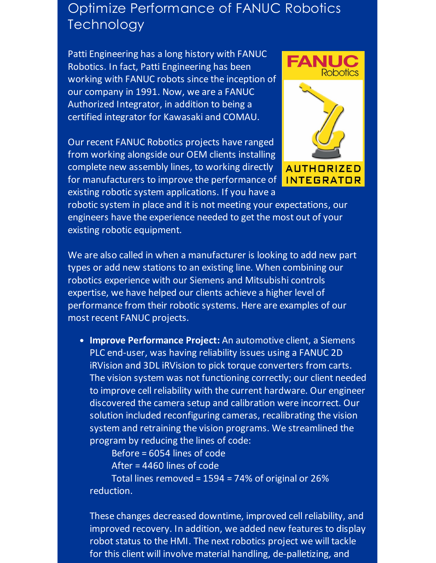# Optimize Performance of FANUC Robotics **Technology**

Patti Engineering has a long history with FANUC Robotics. In fact, Patti Engineering has been working with FANUC robots since the inception of our company in 1991. Now, we are a FANUC Authorized Integrator, in addition to being a certified integrator for Kawasaki and COMAU.

Our recent FANUC Robotics projects have ranged from working alongside our OEM clients installing complete new assembly lines, to working directly for manufacturers to improve the performance of existing robotic system applications. If you have a



robotic system in place and it is not meeting your expectations, our engineers have the experience needed to get the most out of your existing robotic equipment.

We are also called in when a manufacturer is looking to add new part types or add new stations to an existing line. When combining our robotics experience with our Siemens and Mitsubishi controls expertise, we have helped our clients achieve a higher level of performance from their robotic systems. Here are examples of our most recent FANUC projects.

**Improve Performance Project:** An automotive client, a Siemens PLC end-user, was having reliability issues using a FANUC 2D iRVision and 3DL iRVision to pick torque converters from carts. The vision system was not functioning correctly; our client needed to improve cell reliability with the current hardware. Our engineer discovered the camera setup and calibration were incorrect. Our solution included reconfiguring cameras, recalibrating the vision system and retraining the vision programs. We streamlined the program by reducing the lines of code:

Before = 6054 lines of code

After = 4460 lines of code

Total lines removed = 1594 = 74% of original or 26% reduction.

These changes decreased downtime, improved cell reliability, and improved recovery. In addition, we added new features to display robot status to the HMI. The next robotics project we will tackle for this client will involve material handling, de-palletizing, and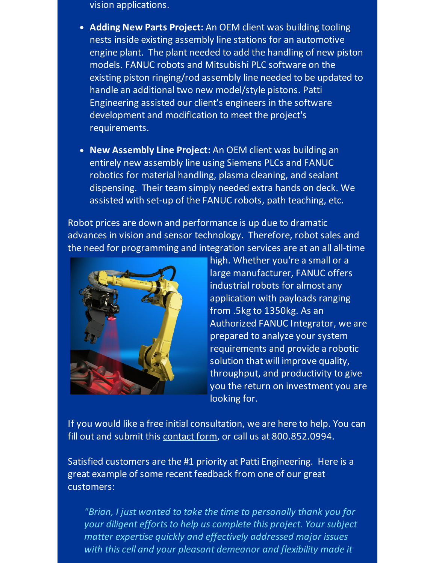vision applications.

- **Adding New Parts Project:** An OEM client was building tooling nests inside existing assembly line stations for an automotive engine plant. The plant needed to add the handling of new piston models. FANUC robots and Mitsubishi PLC software on the existing piston ringing/rod assembly line needed to be updated to handle an additional two new model/style pistons. Patti Engineering assisted our client's engineers in the software development and modification to meet the project's requirements.
- **New Assembly Line Project:** An OEM client was building an entirely new assembly line using Siemens PLCs and FANUC robotics for material handling, plasma cleaning, and sealant dispensing. Their team simply needed extra hands on deck. We assisted with set-up of the FANUC robots, path teaching, etc.

Robot prices are down and performance is up due to dramatic advances in vision and sensor technology. Therefore, robot sales and the need for programming and integration services are at an all all-time



high. Whether you're a small or a large manufacturer, FANUC offers industrial robots for almost any application with payloads ranging from .5kg to 1350kg. As an Authorized FANUC Integrator, we are prepared to analyze your system requirements and provide a robotic solution that will improve quality, throughput, and productivity to give you the return on investment you are looking for.

If you would like a free initial consultation, we are here to help. You can fill out and submit this [contact](http://pattiengineering.com/contact/?utm_source=Patti+Perspective_August_2015&utm_campaign=Newsletter+August+2015&utm_medium=email) form, or call us at 800.852.0994.

Satisfied customers are the #1 priority at Patti Engineering. Here is a great example of some recent feedback from one of our great customers:

*"Brian, I just wanted to take the time to personally thank you for your diligent effortsto help us complete this project. Your subject matter expertise quickly and effectively addressed major issues with this cell and your pleasant demeanor and flexibility made it*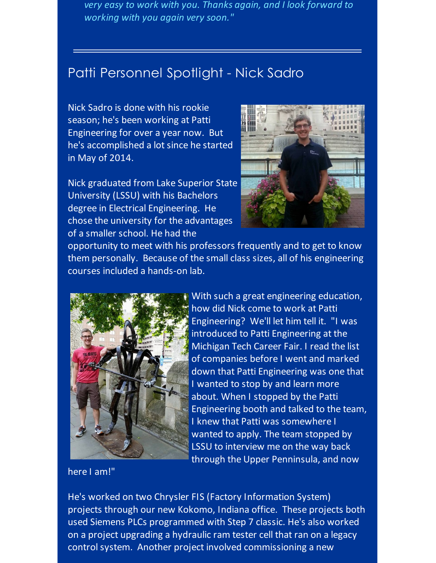*very easy to work with you. Thanks again, and I look forward to working with you again very soon."*

# Patti Personnel Spotlight - Nick Sadro

Nick Sadro is done with his rookie season; he's been working at Patti Engineering for over a year now. But he's accomplished a lot since he started in May of 2014.

Nick graduated from Lake Superior State University (LSSU) with his Bachelors degree in Electrical Engineering. He chose the university for the advantages of a smaller school. He had the



opportunity to meet with his professors frequently and to get to know them personally. Because of the small class sizes, all of his engineering courses included a hands-on lab.



With such a great engineering education, how did Nick come to work at Patti Engineering? We'll let him tell it. "I was introduced to Patti Engineering at the Michigan Tech Career Fair. I read the list of companies before I went and marked down that Patti Engineering was one that I wanted to stop by and learn more about. When I stopped by the Patti Engineering booth and talked to the team, I knew that Patti was somewhere I wanted to apply. The team stopped by LSSU to interview me on the way back through the Upper Penninsula, and now

here I am!"

He's worked on two Chrysler FIS (Factory Information System) projects through our new Kokomo, Indiana office. These projects both used Siemens PLCs programmed with Step 7 classic. He's also worked on a project upgrading a hydraulic ram tester cell that ran on a legacy control system. Another project involved commissioning a new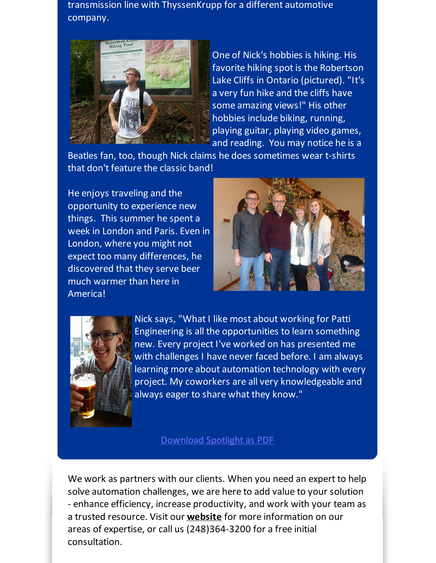transmission line with ThyssenKrupp for a different automotive company.



One of Nick's hobbies is hiking. His favorite hiking spot is the Robertson Lake Cliffs in Ontario (pictured). "It's a very fun hike and the cliffs have some amazing views!" His other hobbies include biking, running, playing guitar, playing video games, and reading. You may notice he is a

Beatles fan, too, though Nick claims he does sometimes wear t-shirts that don't feature the classic band!

He enjoys traveling and the opportunity to experience new things. This summer he spent a week in London and Paris. Even in London, where you might not expect too many differences, he discovered that they serve beer much warmer than here in America!





Nick says, "What I like most about working for Patti Engineering is all the opportunities to learn something new. Every project I've worked on has presented me with challenges I have never faced before. I am always learning more about automation technology with every project. My coworkers are all very knowledgeable and always eager to share what they know."

#### [Download](http://files.ctctcdn.com/59cb3837001/7b5f74f8-ae62-4e39-bfc2-fdab57fc9629.pdf?utm_source=Patti+Perspective_August_2015&utm_campaign=Newsletter+August+2015&utm_medium=email) Spotlight as PDF

We work as partners with our clients. When you need an expert to help solve automation challenges, we are here to add value to your solution - enhance efficiency, increase productivity, and work with your team as a trusted resource. Visit our **[website](http://www.pattieng.com/?utm_source=Patti+Perspective_August_2015&utm_campaign=Newsletter+August+2015&utm_medium=email)** for more information on our areas of expertise, or call us (248)364-3200 for a free initial consultation.